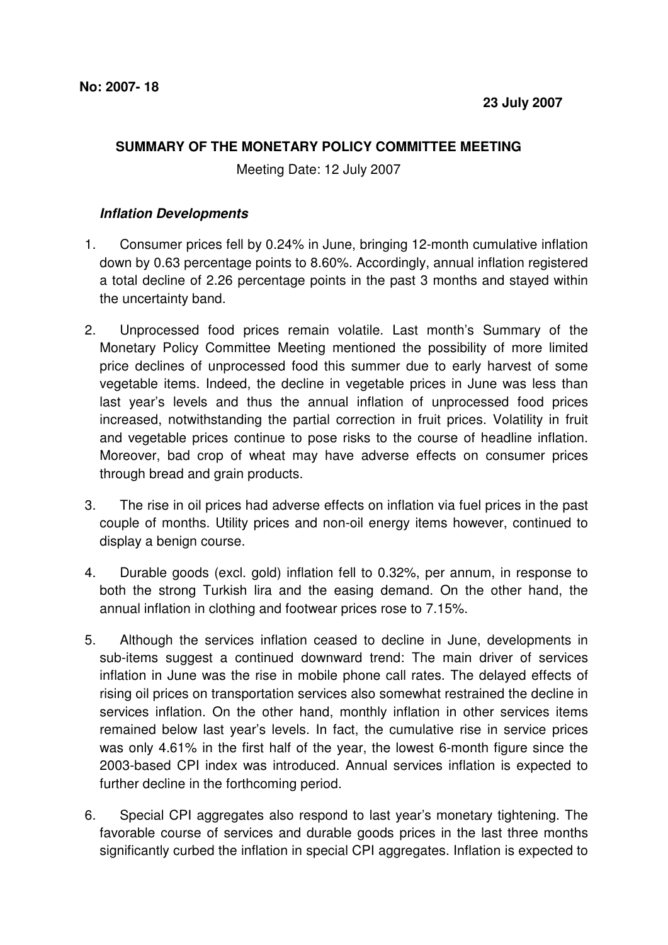## **SUMMARY OF THE MONETARY POLICY COMMITTEE MEETING**

Meeting Date: 12 July 2007

## **Inflation Developments**

- 1. Consumer prices fell by 0.24% in June, bringing 12-month cumulative inflation down by 0.63 percentage points to 8.60%. Accordingly, annual inflation registered a total decline of 2.26 percentage points in the past 3 months and stayed within the uncertainty band.
- 2. Unprocessed food prices remain volatile. Last month's Summary of the Monetary Policy Committee Meeting mentioned the possibility of more limited price declines of unprocessed food this summer due to early harvest of some vegetable items. Indeed, the decline in vegetable prices in June was less than last year's levels and thus the annual inflation of unprocessed food prices increased, notwithstanding the partial correction in fruit prices. Volatility in fruit and vegetable prices continue to pose risks to the course of headline inflation. Moreover, bad crop of wheat may have adverse effects on consumer prices through bread and grain products.
- 3. The rise in oil prices had adverse effects on inflation via fuel prices in the past couple of months. Utility prices and non-oil energy items however, continued to display a benign course.
- 4. Durable goods (excl. gold) inflation fell to 0.32%, per annum, in response to both the strong Turkish lira and the easing demand. On the other hand, the annual inflation in clothing and footwear prices rose to 7.15%.
- 5. Although the services inflation ceased to decline in June, developments in sub-items suggest a continued downward trend: The main driver of services inflation in June was the rise in mobile phone call rates. The delayed effects of rising oil prices on transportation services also somewhat restrained the decline in services inflation. On the other hand, monthly inflation in other services items remained below last year's levels. In fact, the cumulative rise in service prices was only 4.61% in the first half of the year, the lowest 6-month figure since the 2003-based CPI index was introduced. Annual services inflation is expected to further decline in the forthcoming period.
- 6. Special CPI aggregates also respond to last year's monetary tightening. The favorable course of services and durable goods prices in the last three months significantly curbed the inflation in special CPI aggregates. Inflation is expected to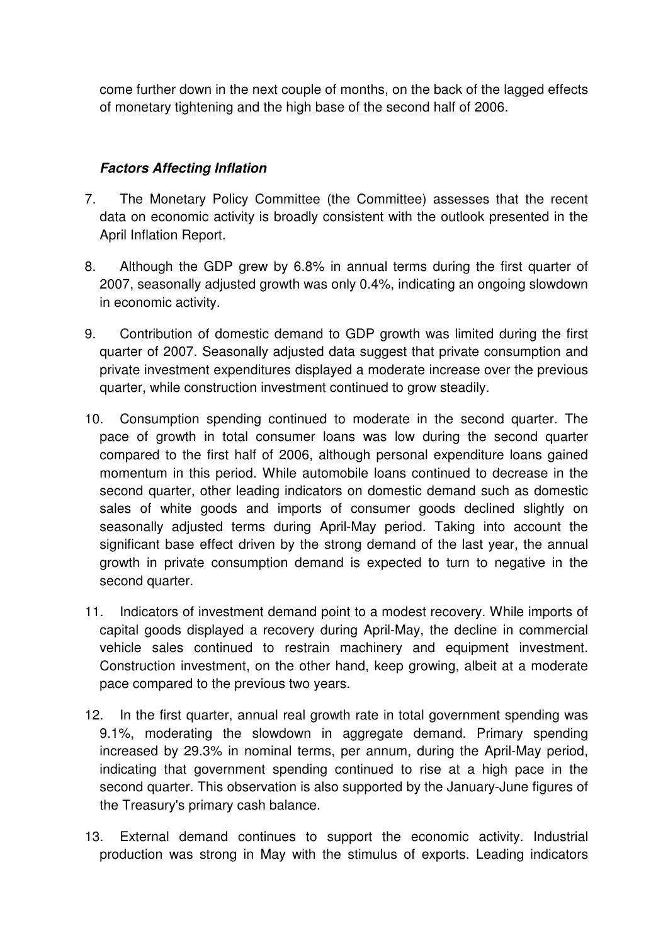come further down in the next couple of months, on the back of the lagged effects of monetary tightening and the high base of the second half of 2006.

## **Factors Affecting Inflation**

- 7. The Monetary Policy Committee (the Committee) assesses that the recent data on economic activity is broadly consistent with the outlook presented in the April Inflation Report.
- 8. Although the GDP grew by 6.8% in annual terms during the first quarter of 2007, seasonally adjusted growth was only 0.4%, indicating an ongoing slowdown in economic activity.
- 9. Contribution of domestic demand to GDP growth was limited during the first quarter of 2007. Seasonally adjusted data suggest that private consumption and private investment expenditures displayed a moderate increase over the previous quarter, while construction investment continued to grow steadily.
- 10. Consumption spending continued to moderate in the second quarter. The pace of growth in total consumer loans was low during the second quarter compared to the first half of 2006, although personal expenditure loans gained momentum in this period. While automobile loans continued to decrease in the second quarter, other leading indicators on domestic demand such as domestic sales of white goods and imports of consumer goods declined slightly on seasonally adjusted terms during April-May period. Taking into account the significant base effect driven by the strong demand of the last year, the annual growth in private consumption demand is expected to turn to negative in the second quarter.
- 11. Indicators of investment demand point to a modest recovery. While imports of capital goods displayed a recovery during April-May, the decline in commercial vehicle sales continued to restrain machinery and equipment investment. Construction investment, on the other hand, keep growing, albeit at a moderate pace compared to the previous two years.
- 12. In the first quarter, annual real growth rate in total government spending was 9.1%, moderating the slowdown in aggregate demand. Primary spending increased by 29.3% in nominal terms, per annum, during the April-May period, indicating that government spending continued to rise at a high pace in the second quarter. This observation is also supported by the January-June figures of the Treasury's primary cash balance.
- 13. External demand continues to support the economic activity. Industrial production was strong in May with the stimulus of exports. Leading indicators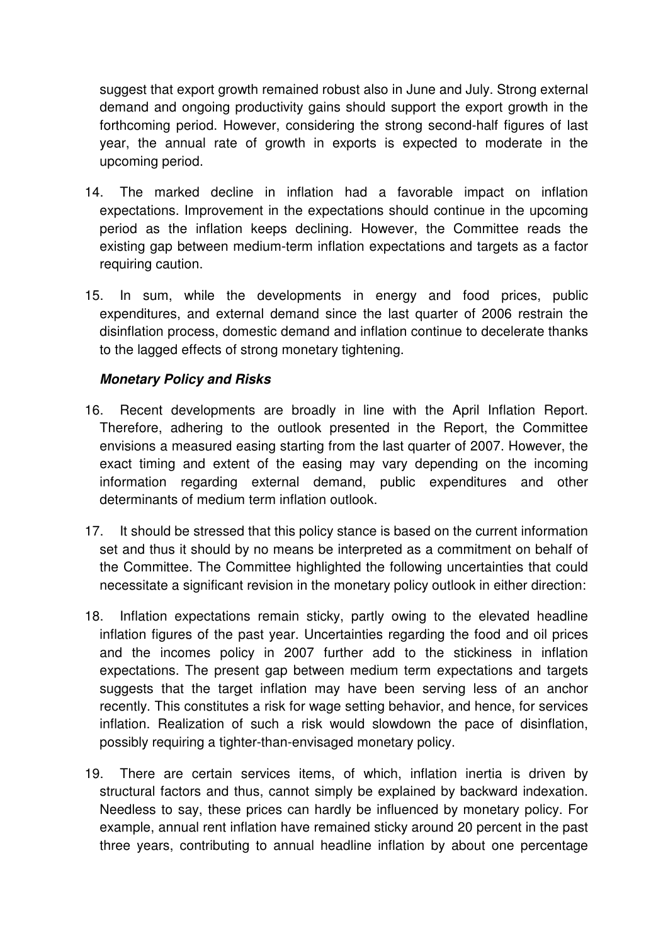suggest that export growth remained robust also in June and July. Strong external demand and ongoing productivity gains should support the export growth in the forthcoming period. However, considering the strong second-half figures of last year, the annual rate of growth in exports is expected to moderate in the upcoming period.

- 14. The marked decline in inflation had a favorable impact on inflation expectations. Improvement in the expectations should continue in the upcoming period as the inflation keeps declining. However, the Committee reads the existing gap between medium-term inflation expectations and targets as a factor requiring caution.
- 15. In sum, while the developments in energy and food prices, public expenditures, and external demand since the last quarter of 2006 restrain the disinflation process, domestic demand and inflation continue to decelerate thanks to the lagged effects of strong monetary tightening.

## **Monetary Policy and Risks**

- 16. Recent developments are broadly in line with the April Inflation Report. Therefore, adhering to the outlook presented in the Report, the Committee envisions a measured easing starting from the last quarter of 2007. However, the exact timing and extent of the easing may vary depending on the incoming information regarding external demand, public expenditures and other determinants of medium term inflation outlook.
- 17. It should be stressed that this policy stance is based on the current information set and thus it should by no means be interpreted as a commitment on behalf of the Committee. The Committee highlighted the following uncertainties that could necessitate a significant revision in the monetary policy outlook in either direction:
- 18. Inflation expectations remain sticky, partly owing to the elevated headline inflation figures of the past year. Uncertainties regarding the food and oil prices and the incomes policy in 2007 further add to the stickiness in inflation expectations. The present gap between medium term expectations and targets suggests that the target inflation may have been serving less of an anchor recently. This constitutes a risk for wage setting behavior, and hence, for services inflation. Realization of such a risk would slowdown the pace of disinflation, possibly requiring a tighter-than-envisaged monetary policy.
- 19. There are certain services items, of which, inflation inertia is driven by structural factors and thus, cannot simply be explained by backward indexation. Needless to say, these prices can hardly be influenced by monetary policy. For example, annual rent inflation have remained sticky around 20 percent in the past three years, contributing to annual headline inflation by about one percentage